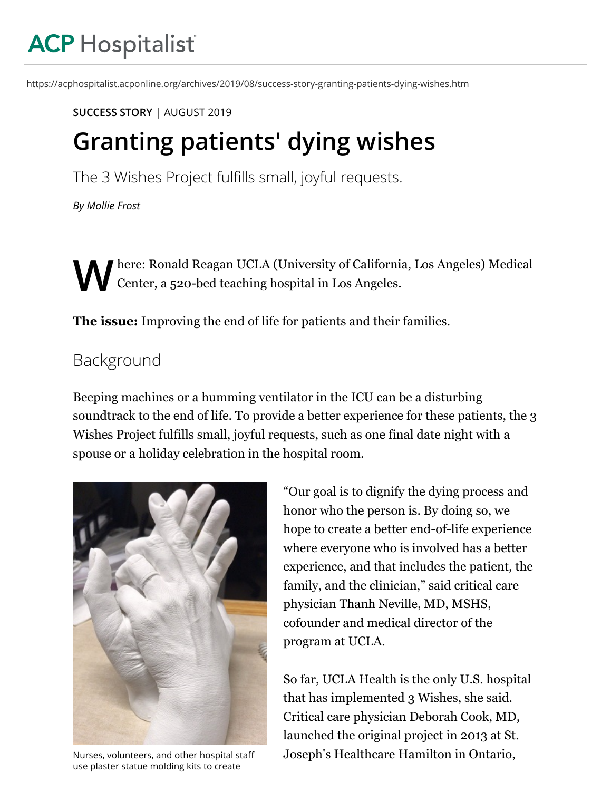# **ACP Hospitalist**

https://acphospitalist.acponline.org/archives/2019/08/success-story-granting-patients-dying-wishes.htm

#### **[SUCCESS STORY](https://acphospitalist.acponline.org/types/success.html)** | [AUGUST 2019](https://acphospitalist.acponline.org/archives/2019/08/)

# **Granting patients' dying wishes**

The 3 Wishes Project fulfills small, joyful requests.

*[By Mollie Frost](https://acphospitalist.acponline.org/staff/)*

 $\mathbf{W}^{\text{he}}_{\text{C}(\mathcal{C})}$ here: Ronald Reagan UCLA (University of California, Los Angeles) Medical Center, a 520-bed teaching hospital in Los Angeles.

**The issue:** Improving the end of life for patients and their families.

## Background

Beeping machines or a humming ventilator in the ICU can be a disturbing soundtrack to the end of life. To provide a better experience for these patients, the 3 Wishes Project fulfills small, joyful requests, such as one final date night with a spouse or a holiday celebration in the hospital room.



Nurses, volunteers, and other hospital staff use plaster statue molding kits to create

"Our goal is to dignify the dying process and honor who the person is. By doing so, we hope to create a better end-of-life experience where everyone who is involved has a better experience, and that includes the patient, the family, and the clinician," said critical care physician Thanh Neville, MD, MSHS, cofounder and medical director of the program at UCLA.

So far, UCLA Health is the only U.S. hospital that has implemented 3 Wishes, she said. Critical care physician Deborah Cook, MD, launched the original project in 2013 at St. Joseph's Healthcare Hamilton in Ontario,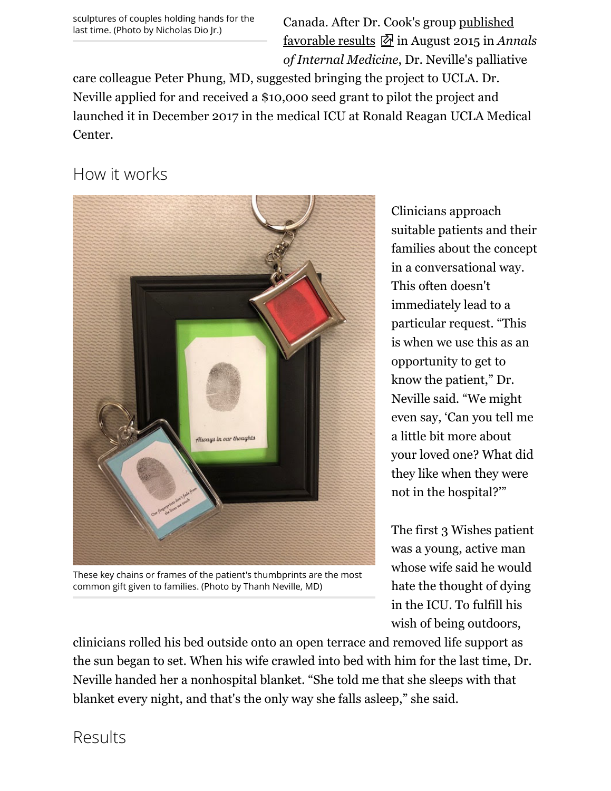sculptures of couples holding hands for the last time. (Photo by Nicholas Dio Jr.)

Canada. After Dr. Cook's group [published](https://annals.org/aim/fullarticle/2395727/personalizing-death-intensive-care-unit-3-wishes-project-mixed-methods) favorable results in August 2015 in *Annals of Internal Medicine*, Dr. Neville's palliative

care colleague Peter Phung, MD, suggested bringing the project to UCLA. Dr. Neville applied for and received a \$10,000 seed grant to pilot the project and launched it in December 2017 in the medical ICU at Ronald Reagan UCLA Medical Center.

### How it works



These key chains or frames of the patient's thumbprints are the most common gift given to families. (Photo by Thanh Neville, MD)

Clinicians approach suitable patients and their families about the concept in a conversational way. This often doesn't immediately lead to a particular request. "This is when we use this as an opportunity to get to know the patient," Dr. Neville said. "We might even say, 'Can you tell me a little bit more about your loved one? What did they like when they were not in the hospital?'"

The first 3 Wishes patient was a young, active man whose wife said he would hate the thought of dying in the ICU. To fulfill his wish of being outdoors,

clinicians rolled his bed outside onto an open terrace and removed life support as the sun began to set. When his wife crawled into bed with him for the last time, Dr. Neville handed her a nonhospital blanket. "She told me that she sleeps with that blanket every night, and that's the only way she falls asleep," she said.

Results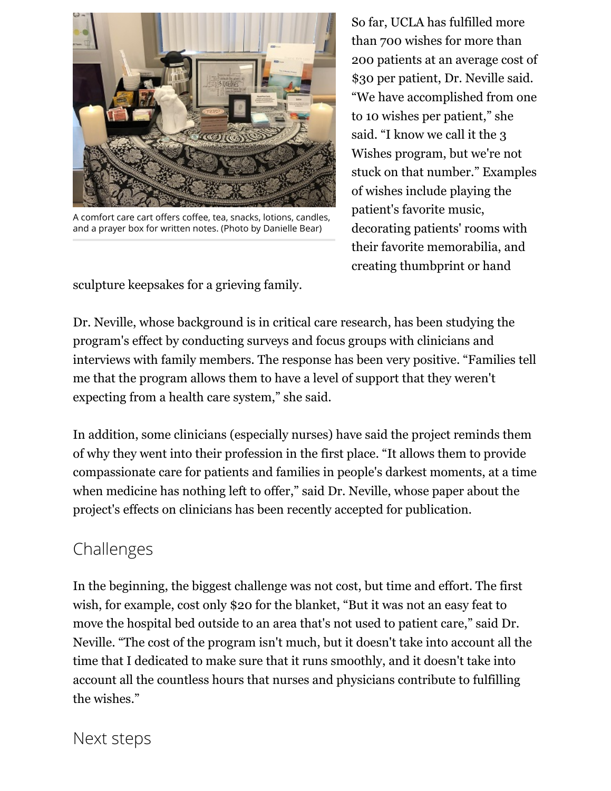

A comfort care cart offers coffee, tea, snacks, lotions, candles, and a prayer box for written notes. (Photo by Danielle Bear)

sculpture keepsakes for a grieving family.

So far, UCLA has fulfilled more than 700 wishes for more than 200 patients at an average cost of \$30 per patient, Dr. Neville said. "We have accomplished from one to 10 wishes per patient," she said. "I know we call it the 3 Wishes program, but we're not stuck on that number." Examples of wishes include playing the patient's favorite music, decorating patients' rooms with their favorite memorabilia, and creating thumbprint or hand

Dr. Neville, whose background is in critical care research, has been studying the program's effect by conducting surveys and focus groups with clinicians and interviews with family members. The response has been very positive. "Families tell me that the program allows them to have a level of support that they weren't expecting from a health care system," she said.

In addition, some clinicians (especially nurses) have said the project reminds them of why they went into their profession in the first place. "It allows them to provide compassionate care for patients and families in people's darkest moments, at a time when medicine has nothing left to offer," said Dr. Neville, whose paper about the project's effects on clinicians has been recently accepted for publication.

### Challenges

In the beginning, the biggest challenge was not cost, but time and effort. The first wish, for example, cost only \$20 for the blanket, "But it was not an easy feat to move the hospital bed outside to an area that's not used to patient care," said Dr. Neville. "The cost of the program isn't much, but it doesn't take into account all the time that I dedicated to make sure that it runs smoothly, and it doesn't take into account all the countless hours that nurses and physicians contribute to fulfilling the wishes."

Next steps